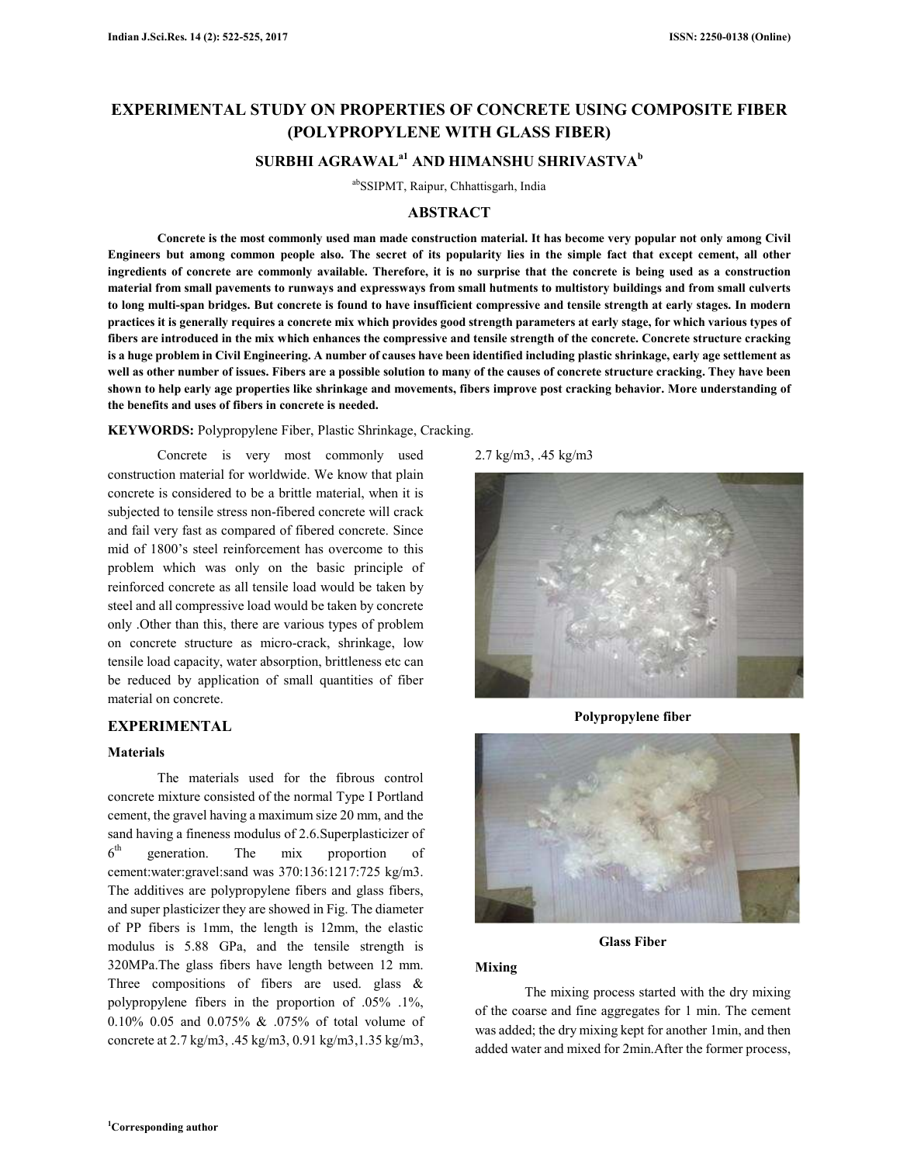# **EXPERIMENTAL STUDY ON PROPERTIES OF CONCRETE USING COMPOSITE FIBER (POLYPROPYLENE WITH GLASS FIBER) SURBHI AGRAWALa1 AND HIMANSHU SHRIVASTVA<sup>b</sup>**

abSSIPMT, Raipur, Chhattisgarh, India

### **ABSTRACT**

**Concrete is the most commonly used man made construction material. It has become very popular not only among Civil Engineers but among common people also. The secret of its popularity lies in the simple fact that except cement, all other ingredients of concrete are commonly available. Therefore, it is no surprise that the concrete is being used as a construction material from small pavements to runways and expressways from small hutments to multistory buildings and from small culverts to long multi-span bridges. But concrete is found to have insufficient compressive and tensile strength at early stages. In modern practices it is generally requires a concrete mix which provides good strength parameters at early stage, for which various types of fibers are introduced in the mix which enhances the compressive and tensile strength of the concrete. Concrete structure cracking is a huge problem in Civil Engineering. A number of causes have been identified including plastic shrinkage, early age settlement as well as other number of issues. Fibers are a possible solution to many of the causes of concrete structure cracking. They have been shown to help early age properties like shrinkage and movements, fibers improve post cracking behavior. More understanding of the benefits and uses of fibers in concrete is needed.** 

**KEYWORDS:** Polypropylene Fiber, Plastic Shrinkage, Cracking.

Concrete is very most commonly used construction material for worldwide. We know that plain concrete is considered to be a brittle material, when it is subjected to tensile stress non-fibered concrete will crack and fail very fast as compared of fibered concrete. Since mid of 1800's steel reinforcement has overcome to this problem which was only on the basic principle of reinforced concrete as all tensile load would be taken by steel and all compressive load would be taken by concrete only .Other than this, there are various types of problem on concrete structure as micro-crack, shrinkage, low tensile load capacity, water absorption, brittleness etc can be reduced by application of small quantities of fiber material on concrete.

## **EXPERIMENTAL**

#### **Materials**

The materials used for the fibrous control concrete mixture consisted of the normal Type I Portland cement, the gravel having a maximum size 20 mm, and the sand having a fineness modulus of 2.6.Superplasticizer of  $6<sup>th</sup>$ generation. The mix proportion of cement:water:gravel:sand was 370:136:1217:725 kg/m3. The additives are polypropylene fibers and glass fibers, and super plasticizer they are showed in Fig. The diameter of PP fibers is 1mm, the length is 12mm, the elastic modulus is 5.88 GPa, and the tensile strength is 320MPa.The glass fibers have length between 12 mm. Three compositions of fibers are used. glass & polypropylene fibers in the proportion of .05% .1%, 0.10% 0.05 and 0.075% & .075% of total volume of concrete at 2.7 kg/m3, .45 kg/m3, 0.91 kg/m3,1.35 kg/m3,

2.7 kg/m3, .45 kg/m3



**Polypropylene fiber** 



**Glass Fiber** 

## **Mixing**

The mixing process started with the dry mixing of the coarse and fine aggregates for 1 min. The cement was added; the dry mixing kept for another 1min, and then added water and mixed for 2min.After the former process,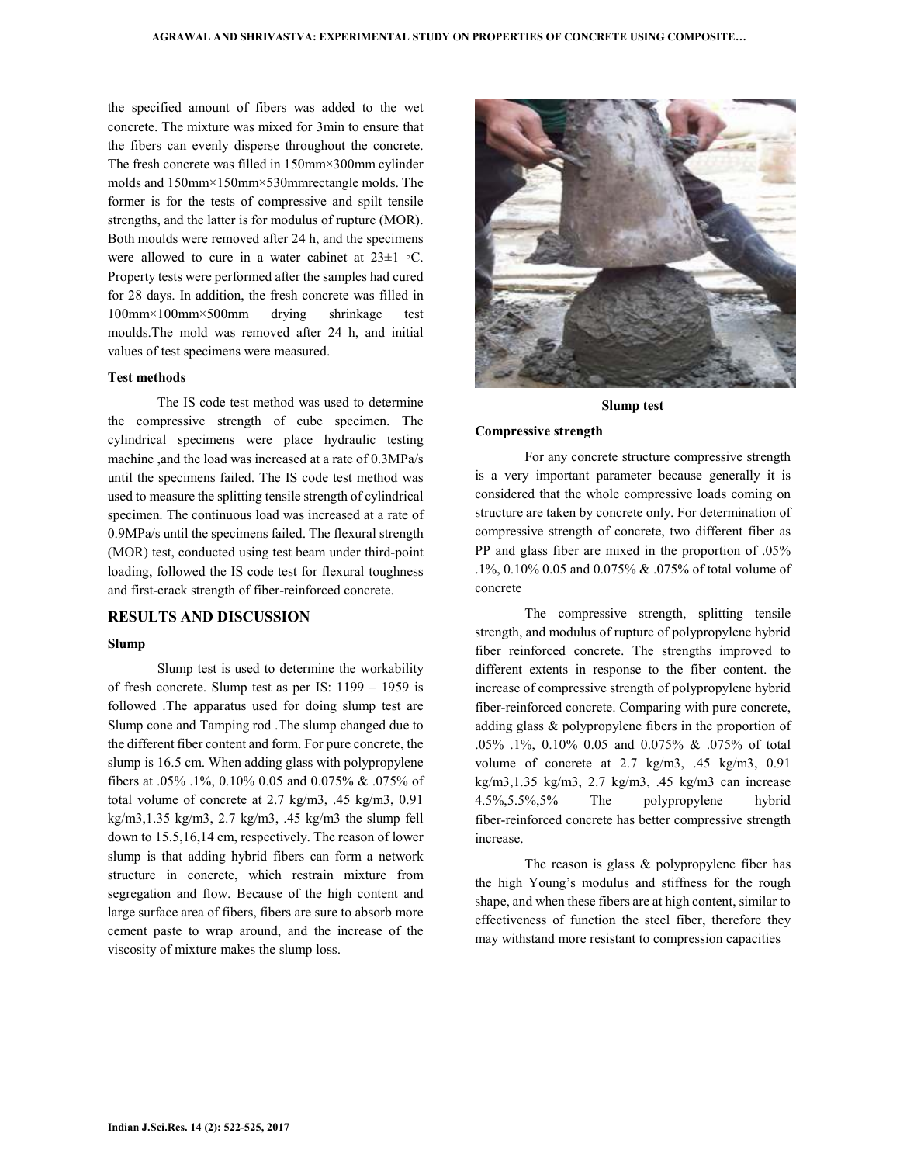the specified amount of fibers was added to the wet concrete. The mixture was mixed for 3min to ensure that the fibers can evenly disperse throughout the concrete. The fresh concrete was filled in 150mm×300mm cylinder molds and 150mm×150mm×530mmrectangle molds. The former is for the tests of compressive and spilt tensile strengths, and the latter is for modulus of rupture (MOR). Both moulds were removed after 24 h, and the specimens were allowed to cure in a water cabinet at 23±1 ◦C. Property tests were performed after the samples had cured for 28 days. In addition, the fresh concrete was filled in 100mm×100mm×500mm drying shrinkage test moulds.The mold was removed after 24 h, and initial values of test specimens were measured.

#### **Test methods**

The IS code test method was used to determine the compressive strength of cube specimen. The cylindrical specimens were place hydraulic testing machine ,and the load was increased at a rate of 0.3MPa/s until the specimens failed. The IS code test method was used to measure the splitting tensile strength of cylindrical specimen. The continuous load was increased at a rate of 0.9MPa/s until the specimens failed. The flexural strength (MOR) test, conducted using test beam under third-point loading, followed the IS code test for flexural toughness and first-crack strength of fiber-reinforced concrete.

#### **RESULTS AND DISCUSSION**

#### **Slump**

Slump test is used to determine the workability of fresh concrete. Slump test as per IS: 1199 – 1959 is followed .The apparatus used for doing slump test are Slump cone and Tamping rod .The slump changed due to the different fiber content and form. For pure concrete, the slump is 16.5 cm. When adding glass with polypropylene fibers at .05% .1%, 0.10% 0.05 and 0.075% & .075% of total volume of concrete at 2.7 kg/m3, .45 kg/m3, 0.91 kg/m3,1.35 kg/m3, 2.7 kg/m3, .45 kg/m3 the slump fell down to 15.5,16,14 cm, respectively. The reason of lower slump is that adding hybrid fibers can form a network structure in concrete, which restrain mixture from segregation and flow. Because of the high content and large surface area of fibers, fibers are sure to absorb more cement paste to wrap around, and the increase of the viscosity of mixture makes the slump loss.



#### **Slump test**

#### **Compressive strength**

For any concrete structure compressive strength is a very important parameter because generally it is considered that the whole compressive loads coming on structure are taken by concrete only. For determination of compressive strength of concrete, two different fiber as PP and glass fiber are mixed in the proportion of .05% .1%, 0.10% 0.05 and 0.075% & .075% of total volume of concrete

The compressive strength, splitting tensile strength, and modulus of rupture of polypropylene hybrid fiber reinforced concrete. The strengths improved to different extents in response to the fiber content. the increase of compressive strength of polypropylene hybrid fiber-reinforced concrete. Comparing with pure concrete, adding glass & polypropylene fibers in the proportion of .05% .1%, 0.10% 0.05 and 0.075% & .075% of total volume of concrete at 2.7 kg/m3, .45 kg/m3, 0.91 kg/m3,1.35 kg/m3, 2.7 kg/m3, .45 kg/m3 can increase 4.5%,5.5%,5% The polypropylene hybrid fiber-reinforced concrete has better compressive strength increase.

The reason is glass  $&$  polypropylene fiber has the high Young's modulus and stiffness for the rough shape, and when these fibers are at high content, similar to effectiveness of function the steel fiber, therefore they may withstand more resistant to compression capacities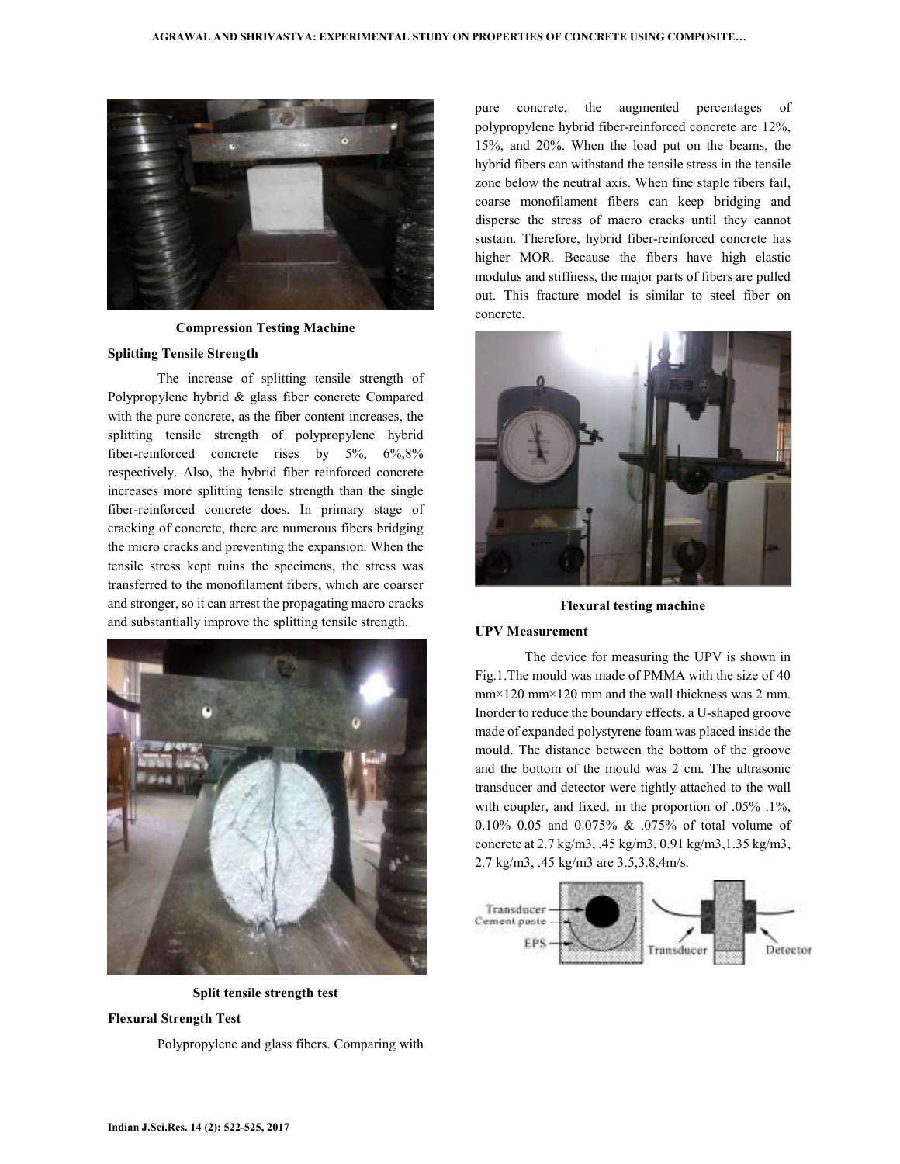

**Compression Testing Machine** 

#### **Splitting Tensile Strength**

The increase of splitting tensile strength of Polypropylene hybrid & glass fiber concrete Compared with the pure concrete, as the fiber content increases, the splitting tensile strength of polypropylene hybrid fiber-reinforced concrete rises by 5%, 6%,8% respectively. Also, the hybrid fiber reinforced concrete increases more splitting tensile strength than the single fiber-reinforced concrete does. In primary stage of cracking of concrete, there are numerous fibers bridging the micro cracks and preventing the expansion. When the tensile stress kept ruins the specimens, the stress was transferred to the monofilament fibers, which are coarser and stronger, so it can arrest the propagating macro cracks and substantially improve the splitting tensile strength.



**Split tensile strength test** 

## **Flexural Strength Test**

Polypropylene and glass fibers. Comparing with

pure concrete, the augmented percentages of polypropylene hybrid fiber-reinforced concrete are 12%, 15%, and 20%. When the load put on the beams, the hybrid fibers can withstand the tensile stress in the tensile zone below the neutral axis. When fine staple fibers fail, coarse monofilament fibers can keep bridging and disperse the stress of macro cracks until they cannot sustain. Therefore, hybrid fiber-reinforced concrete has higher MOR. Because the fibers have high elastic modulus and stiffness, the major parts of fibers are pulled out. This fracture model is similar to steel fiber on concrete.



**Flexural testing machine** 

#### **UPV Measurement**

The device for measuring the UPV is shown in Fig.1.The mould was made of PMMA with the size of 40 mm×120 mm×120 mm and the wall thickness was 2 mm. Inorder to reduce the boundary effects, a U-shaped groove made of expanded polystyrene foam was placed inside the mould. The distance between the bottom of the groove and the bottom of the mould was 2 cm. The ultrasonic transducer and detector were tightly attached to the wall with coupler, and fixed. in the proportion of .05% .1%, 0.10% 0.05 and 0.075% & .075% of total volume of concrete at 2.7 kg/m3, .45 kg/m3, 0.91 kg/m3,1.35 kg/m3, 2.7 kg/m3, .45 kg/m3 are 3.5,3.8,4m/s.